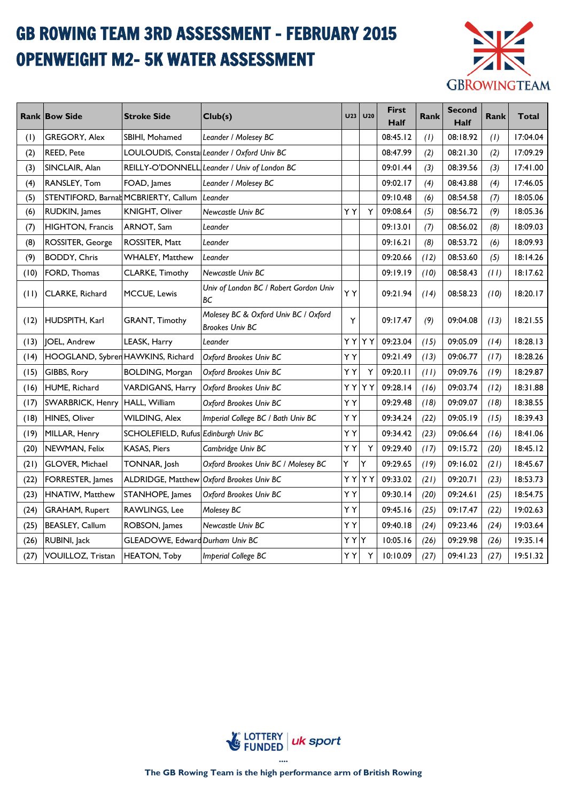## GB ROWING TEAM 3RD ASSESSMENT - FEBRUARY 2015 OPENWEIGHT M2- 5K WATER ASSESSMENT



|      | <b>Rank Bow Side</b>                 | <b>Stroke Side</b>                   | Club(s)                                                        | <b>U23</b> | U <sub>20</sub> | <b>First</b><br>Half | Rank | <b>Second</b><br><b>Half</b> | Rank | Total    |
|------|--------------------------------------|--------------------------------------|----------------------------------------------------------------|------------|-----------------|----------------------|------|------------------------------|------|----------|
| (1)  | GREGORY, Alex                        | SBIHI, Mohamed                       | Leander / Molesey BC                                           |            |                 | 08:45.12             | (1)  | 08:18.92                     | (1)  | 17:04.04 |
| (2)  | <b>REED, Pete</b>                    |                                      | LOULOUDIS, Constal Leander / Oxford Univ BC                    |            |                 | 08:47.99             | (2)  | 08:21.30                     | (2)  | 17:09.29 |
| (3)  | SINCLAIR, Alan                       |                                      | REILLY-O'DONNELL Leander / Univ of London BC                   |            |                 | 09:01.44             | (3)  | 08:39.56                     | (3)  | 17:41.00 |
| (4)  | <b>RANSLEY, Tom</b>                  | FOAD, James                          | Leander / Molesey BC                                           |            |                 | 09:02.17             | (4)  | 08:43.88                     | (4)  | 17:46.05 |
| (5)  | STENTIFORD, Barnat MCBRIERTY, Callum |                                      | Leander                                                        |            |                 | 09:10.48             | (6)  | 08:54.58                     | (7)  | 18:05.06 |
| (6)  | RUDKIN, James                        | KNIGHT, Oliver                       | <b>Newcastle Univ BC</b>                                       | YY         | Y               | 09:08.64             | (5)  | 08:56.72                     | (9)  | 18:05.36 |
| (7)  | HIGHTON, Francis                     | ARNOT, Sam                           | Leander                                                        |            |                 | 09:13.01             | (7)  | 08:56.02                     | (8)  | 18:09.03 |
| (8)  | ROSSITER, George                     | ROSSITER, Matt                       | Leander                                                        |            |                 | 09:16.21             | (8)  | 08:53.72                     | (6)  | 18:09.93 |
| (9)  | <b>BODDY, Chris</b>                  | WHALEY, Matthew                      | Leander                                                        |            |                 | 09:20.66             | (12) | 08:53.60                     | (5)  | 18:14.26 |
| (10) | <b>FORD, Thomas</b>                  | <b>CLARKE, Timothy</b>               | Newcastle Univ BC                                              |            |                 | 09:19.19             | (10) | 08:58.43                     | (11) | 18:17.62 |
| (11) | CLARKE, Richard                      | MCCUE, Lewis                         | Univ of London BC / Robert Gordon Univ<br>ВC                   | ΥY         |                 | 09:21.94             | (14) | 08:58.23                     | (10) | 18:20.17 |
| (12) | HUDSPITH, Karl                       | GRANT, Timothy                       | Molesey BC & Oxford Univ BC / Oxford<br><b>Brookes Univ BC</b> | Υ          |                 | 09:17.47             | (9)  | 09:04.08                     | (13) | 18:21.55 |
| (13) | <b>IOEL, Andrew</b>                  | LEASK, Harry                         | Leander                                                        | ΥY         | ΥY              | 09:23.04             | (15) | 09:05.09                     | (14) | 18:28.13 |
| (14) | HOOGLAND, Sybren HAWKINS, Richard    |                                      | Oxford Brookes Univ BC                                         | YY         |                 | 09:21.49             | (13) | 09:06.77                     | (17) | 18:28.26 |
| (15) | GIBBS, Rory                          | <b>BOLDING, Morgan</b>               | Oxford Brookes Univ BC                                         | ΥY         | Y               | 09:20.11             | (11) | 09:09.76                     | (19) | 18:29.87 |
| (16) | <b>HUME, Richard</b>                 | VARDIGANS, Harry                     | Oxford Brookes Univ BC                                         | ΥY         | ΥY              | 09:28.14             | (16) | 09:03.74                     | (12) | 18:31.88 |
| (17) | <b>SWARBRICK, Henry</b>              | HALL, William                        | Oxford Brookes Univ BC                                         | YY         |                 | 09:29.48             | (18) | 09:09.07                     | (18) | 18:38.55 |
| (18) | <b>HINES, Oliver</b>                 | WILDING, Alex                        | Imperial College BC / Bath Univ BC                             | YΥ         |                 | 09:34.24             | (22) | 09:05.19                     | (15) | 18:39.43 |
| (19) | MILLAR, Henry                        | SCHOLEFIELD, Rufus Edinburgh Univ BC |                                                                | ΥY         |                 | 09:34.42             | (23) | 09:06.64                     | (16) | 18:41.06 |
| (20) | NEWMAN, Felix                        | <b>KASAS, Piers</b>                  | Cambridge Univ BC                                              | YY         | Y               | 09:29.40             | (17) | 09:15.72                     | (20) | 18:45.12 |
| (21) | <b>GLOVER, Michael</b>               | TONNAR, Josh                         | Oxford Brookes Univ BC / Molesey BC                            | Y          | Y               | 09:29.65             | (19) | 09:16.02                     | (21) | 18:45.67 |
| (22) | FORRESTER, James                     | ALDRIDGE, Matthew                    | Oxford Brookes Univ BC                                         | YY         | YY              | 09:33.02             | (21) | 09:20.71                     | (23) | 18:53.73 |
| (23) | <b>HNATIW, Matthew</b>               | STANHOPE, James                      | Oxford Brookes Univ BC                                         | YY         |                 | 09:30.14             | (20) | 09:24.61                     | (25) | 18:54.75 |
| (24) | <b>GRAHAM, Rupert</b>                | RAWLINGS, Lee                        | Molesey BC                                                     | YY         |                 | 09:45.16             | (25) | 09:17.47                     | (22) | 19:02.63 |
| (25) | BEASLEY, Callum                      | ROBSON, James                        | Newcastle Univ BC                                              | ΥY         |                 | 09:40.18             | (24) | 09:23.46                     | (24) | 19:03.64 |
| (26) | RUBINI, Jack                         | GLEADOWE, Edward Durham Univ BC      |                                                                | ΥY         | Y               | 10:05.16             | (26) | 09:29.98                     | (26) | 19:35.14 |
| (27) | <b>VOUILLOZ, Tristan</b>             | <b>HEATON, Toby</b>                  | <b>Imperial College BC</b>                                     | YΥ         | Υ               | 10:10.09             | (27) | 09:41.23                     | (27) | 19:51.32 |

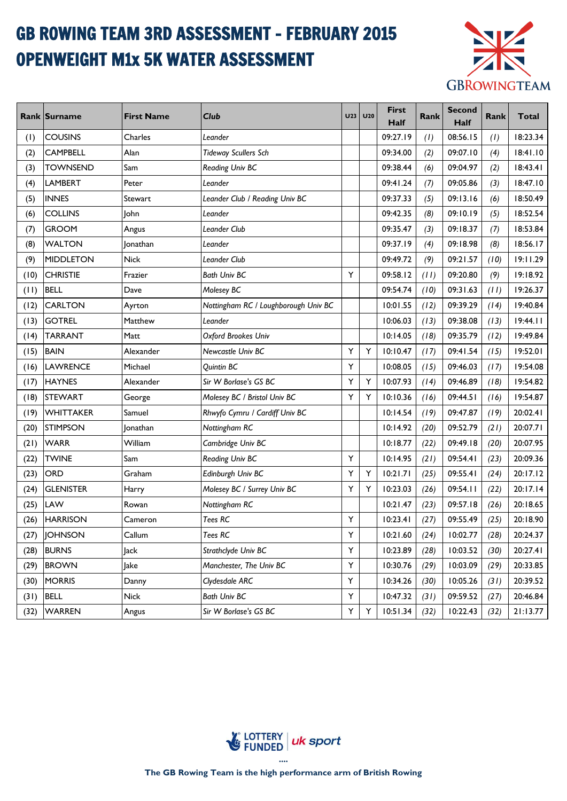## GB ROWING TEAM 3RD ASSESSMENT - FEBRUARY 2015 OPENWEIGHT M1x 5K WATER ASSESSMENT



|      | Rank Surname     | <b>First Name</b> | <b>Club</b>                          | U <sub>23</sub> | <b>U20</b> | <b>First</b><br>Half | Rank | <b>Second</b><br><b>Half</b> | Rank | <b>Total</b> |
|------|------------------|-------------------|--------------------------------------|-----------------|------------|----------------------|------|------------------------------|------|--------------|
| (1)  | <b>COUSINS</b>   | Charles           | Leander                              |                 |            | 09:27.19             | (1)  | 08:56.15                     | (1)  | 18:23.34     |
| (2)  | <b>CAMPBELL</b>  | Alan              | <b>Tideway Scullers Sch</b>          |                 |            | 09:34.00             | (2)  | 09:07.10                     | (4)  | 18:41.10     |
| (3)  | <b>TOWNSEND</b>  | Sam               | Reading Univ BC                      |                 |            | 09:38.44             | (6)  | 09:04.97                     | (2)  | 18:43.41     |
| (4)  | <b>LAMBERT</b>   | Peter             | Leander                              |                 |            | 09:41.24             | (7)  | 09:05.86                     | (3)  | 18:47.10     |
| (5)  | <b>INNES</b>     | Stewart           | Leander Club / Reading Univ BC       |                 |            | 09:37.33             | (5)  | 09:13.16                     | (6)  | 18:50.49     |
| (6)  | <b>COLLINS</b>   | John              | Leander                              |                 |            | 09:42.35             | (8)  | 09:10.19                     | (5)  | 18:52.54     |
| (7)  | <b>GROOM</b>     | Angus             | <b>Leander Club</b>                  |                 |            | 09:35.47             | (3)  | 09:18.37                     | (7)  | 18:53.84     |
| (8)  | <b>WALTON</b>    | Jonathan          | Leander                              |                 |            | 09:37.19             | (4)  | 09:18.98                     | (8)  | 18:56.17     |
| (9)  | MIDDLETON        | Nick              | Leander Club                         |                 |            | 09:49.72             | (9)  | 09:21.57                     | (10) | 19:11.29     |
| (10) | <b>CHRISTIE</b>  | Frazier           | <b>Bath Univ BC</b>                  | Y               |            | 09:58.12             | (11) | 09:20.80                     | (9)  | 19:18.92     |
| (11) | <b>BELL</b>      | Dave              | Molesey BC                           |                 |            | 09:54.74             | (10) | 09:31.63                     | (11) | 19:26.37     |
| (12) | <b>CARLTON</b>   | Ayrton            | Nottingham RC / Loughborough Univ BC |                 |            | 10:01.55             | (12) | 09:39.29                     | (14) | 19:40.84     |
| (13) | <b>GOTREL</b>    | Matthew           | Leander                              |                 |            | 10:06.03             | (13) | 09:38.08                     | (13) | 19:44.11     |
| (14) | <b>TARRANT</b>   | Matt              | Oxford Brookes Univ                  |                 |            | 10:14.05             | (18) | 09:35.79                     | (12) | 19:49.84     |
| (15) | <b>BAIN</b>      | Alexander         | Newcastle Univ BC                    | Y               | Y          | 10:10.47             | (17) | 09:41.54                     | (15) | 19:52.01     |
| (16) | <b>LAWRENCE</b>  | Michael           | <b>Quintin BC</b>                    | Y               |            | 10:08.05             | (15) | 09:46.03                     | (17) | 19:54.08     |
| (17) | <b>HAYNES</b>    | Alexander         | Sir W Borlase's GS BC                | Υ               | Υ          | 10:07.93             | (14) | 09:46.89                     | (18) | 19:54.82     |
| (18) | <b>STEWART</b>   | George            | Molesey BC / Bristol Univ BC         | Y               | Υ          | 10:10.36             | (16) | 09:44.51                     | (16) | 19:54.87     |
| (19) | WHITTAKER        | Samuel            | Rhwyfo Cymru / Cardiff Univ BC       |                 |            | 10:14.54             | (19) | 09:47.87                     | (19) | 20:02.41     |
| (20) | <b>STIMPSON</b>  | Jonathan          | Nottingham RC                        |                 |            | 10:14.92             | (20) | 09:52.79                     | (21) | 20:07.71     |
| (21) | <b>WARR</b>      | William           | Cambridge Univ BC                    |                 |            | 10:18.77             | (22) | 09:49.18                     | (20) | 20:07.95     |
| (22) | <b>TWINE</b>     | Sam               | Reading Univ BC                      | Y               |            | 10:14.95             | (21) | 09:54.41                     | (23) | 20:09.36     |
| (23) | <b>ORD</b>       | Graham            | Edinburgh Univ BC                    | Y               | Y          | 10:21.71             | (25) | 09:55.41                     | (24) | 20:17.12     |
| (24) | <b>GLENISTER</b> | Harry             | Molesey BC / Surrey Univ BC          | Y               | Υ          | 10:23.03             | (26) | 09:54.11                     | (22) | 20:17.14     |
| (25) | <b>LAW</b>       | Rowan             | Nottingham RC                        |                 |            | 10:21.47             | (23) | 09:57.18                     | (26) | 20:18.65     |
| (26) | <b>HARRISON</b>  | Cameron           | Tees RC                              | Y               |            | 10:23.41             | (27) | 09:55.49                     | (25) | 20:18.90     |
| (27) | <b>JOHNSON</b>   | Callum            | Tees RC                              | Υ               |            | 10:21.60             | (24) | 10:02.77                     | (28) | 20:24.37     |
| (28) | <b>BURNS</b>     | Jack              | Strathclyde Univ BC                  | Y               |            | 10:23.89             | (28) | 10:03.52                     | (30) | 20:27.41     |
| (29) | <b>BROWN</b>     | Jake              | Manchester, The Univ BC              | Y               |            | 10:30.76             | (29) | 10:03.09                     | (29) | 20:33.85     |
| (30) | <b>MORRIS</b>    | Danny             | Clydesdale ARC                       | Υ               |            | 10:34.26             | (30) | 10:05.26                     | (31) | 20:39.52     |
| (31) | <b>BELL</b>      | <b>Nick</b>       | <b>Bath Univ BC</b>                  | Y               |            | 10:47.32             | (31) | 09:59.52                     | (27) | 20:46.84     |
| (32) | <b>WARREN</b>    | Angus             | Sir W Borlase's GS BC                | Y               | Υ          | 10:51.34             | (32) | 10:22.43                     | (32) | 21:13.77     |

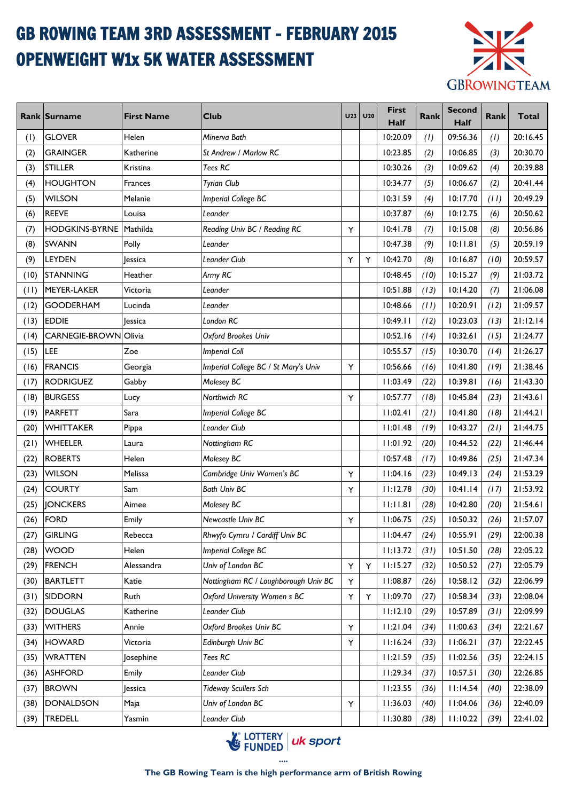# GB ROWING TEAM 3RD ASSESSMENT - FEBRUARY 2015 OPENWEIGHT W1x 5K WATER ASSESSMENT



|      | Rank Surname          | <b>First Name</b> | <b>Club</b>                          | <b>U23</b> | U20 | <b>First</b><br>Half | Rank | <b>Second</b><br><b>Half</b> | Rank | <b>Total</b> |
|------|-----------------------|-------------------|--------------------------------------|------------|-----|----------------------|------|------------------------------|------|--------------|
| (1)  | <b>GLOVER</b>         | Helen             | Minerva Bath                         |            |     | 10:20.09             | (1)  | 09:56.36                     | (1)  | 20:16.45     |
| (2)  | <b>GRAINGER</b>       | Katherine         | St Andrew / Marlow RC                |            |     | 10:23.85             | (2)  | 10:06.85                     | (3)  | 20:30.70     |
| (3)  | <b>STILLER</b>        | Kristina          | Tees RC                              |            |     | 10:30.26             | (3)  | 10:09.62                     | (4)  | 20:39.88     |
| (4)  | <b>HOUGHTON</b>       | Frances           | <b>Tyrian Club</b>                   |            |     | 10:34.77             | (5)  | 10:06.67                     | (2)  | 20:41.44     |
| (5)  | <b>WILSON</b>         | Melanie           | Imperial College BC                  |            |     | 10:31.59             | (4)  | 10:17.70                     | (11) | 20:49.29     |
| (6)  | <b>REEVE</b>          | Louisa            | Leander                              |            |     | 10:37.87             | (6)  | 10:12.75                     | (6)  | 20:50.62     |
| (7)  | <b>HODGKINS-BYRNE</b> | Mathilda          | Reading Univ BC / Reading RC         | Υ          |     | 10:41.78             | (7)  | 10:15.08                     | (8)  | 20:56.86     |
| (8)  | <b>SWANN</b>          | Polly             | Leander                              |            |     | 10:47.38             | (9)  | 10:11.81                     | (5)  | 20:59.19     |
| (9)  | <b>LEYDEN</b>         | lessica           | <b>Leander Club</b>                  | Y          | Y   | 10:42.70             | (8)  | 10:16.87                     | (10) | 20:59.57     |
| (10) | STANNING              | Heather           | Army RC                              |            |     | 10:48.45             | (10) | 10:15.27                     | (9)  | 21:03.72     |
| (11) | MEYER-LAKER           | Victoria          | Leander                              |            |     | 10:51.88             | (13) | 10:14.20                     | (7)  | 21:06.08     |
| (12) | <b>GOODERHAM</b>      | Lucinda           | Leander                              |            |     | 10:48.66             | (11) | 10:20.91                     | (12) | 21:09.57     |
| (13) | <b>EDDIE</b>          | <b>Jessica</b>    | London RC                            |            |     | 10:49.11             | (12) | 10:23.03                     | (13) | 21:12.14     |
| (14) | CARNEGIE-BROWN Olivia |                   | Oxford Brookes Univ                  |            |     | 10:52.16             | (14) | 10:32.61                     | (15) | 21:24.77     |
| (15) | LEE                   | Zoe               | <b>Imperial Coll</b>                 |            |     | 10:55.57             | (15) | 10:30.70                     | (14) | 21:26.27     |
| (16) | <b>FRANCIS</b>        | Georgia           | Imperial College BC / St Mary's Univ | Υ          |     | 10:56.66             | (16) | 10:41.80                     | (19) | 21:38.46     |
| (17) | <b>RODRIGUEZ</b>      | Gabby             | Molesey BC                           |            |     | 11:03.49             | (22) | 10:39.81                     | (16) | 21:43.30     |
| (18) | <b>BURGESS</b>        | Lucy              | Northwich RC                         | Υ          |     | 10:57.77             | (18) | 10:45.84                     | (23) | 21:43.61     |
| (19) | <b>PARFETT</b>        | Sara              | Imperial College BC                  |            |     | 11:02.41             | (21) | 10:41.80                     | (18) | 21:44.21     |
| (20) | WHITTAKER             | Pippa             | Leander Club                         |            |     | 11:01.48             | (19) | 10:43.27                     | (21) | 21:44.75     |
| (21) | WHEELER               | Laura             | Nottingham RC                        |            |     | 11:01.92             | (20) | 10:44.52                     | (22) | 21:46.44     |
| (22) | <b>ROBERTS</b>        | Helen             | Molesey BC                           |            |     | 10:57.48             | (17) | 10:49.86                     | (25) | 21:47.34     |
| (23) | <b>WILSON</b>         | Melissa           | Cambridge Univ Women's BC            | Υ          |     | 11:04.16             | (23) | 10:49.13                     | (24) | 21:53.29     |
| (24) | <b>COURTY</b>         | Sam               | <b>Bath Univ BC</b>                  | Y          |     | 11:12.78             | (30) | 10:41.14                     | (17) | 21:53.92     |
| (25) | <b>JONCKERS</b>       | Aimee             | Molesey BC                           |            |     | 11:11.81             | (28) | 10:42.80                     | (20) | 21:54.61     |
| (26) | FORD                  | Emily             | Newcastle Univ BC                    | Υ          |     | 11:06.75             | (25) | 10:50.32                     | (26) | 21:57.07     |
| (27) | <b>GIRLING</b>        | Rebecca           | Rhwyfo Cymru / Cardiff Univ BC       |            |     | 11:04.47             | (24) | 10:55.91                     | (29) | 22:00.38     |
| (28) | <b>WOOD</b>           | Helen             | Imperial College BC                  |            |     | 11:13.72             | (31) | 10:51.50                     | (28) | 22:05.22     |
| (29) | <b>FRENCH</b>         | Alessandra        | Univ of London BC                    | Υ          | Υ   | 11:15.27             | (32) | 10:50.52                     | (27) | 22:05.79     |
| (30) | <b>BARTLETT</b>       | Katie             | Nottingham RC / Loughborough Univ BC | Y          |     | 11:08.87             | (26) | 10:58.12                     | (32) | 22:06.99     |
| (31) | SIDDORN               | Ruth              | Oxford University Women s BC         | Υ          | Υ   | 11:09.70             | (27) | 10:58.34                     | (33) | 22:08.04     |
| (32) | <b>DOUGLAS</b>        | Katherine         | Leander Club                         |            |     | 11:12.10             | (29) | 10:57.89                     | (31) | 22:09.99     |
| (33) | <b>WITHERS</b>        | Annie             | Oxford Brookes Univ BC               | Υ          |     | 11:21.04             | (34) | 11:00.63                     | (34) | 22:21.67     |
| (34) | <b>HOWARD</b>         | Victoria          | Edinburgh Univ BC                    | Υ          |     | 11:16.24             | (33) | 11:06.21                     | (37) | 22:22.45     |
| (35) | <b>WRATTEN</b>        | Josephine         | Tees RC                              |            |     | 11:21.59             | (35) | 11:02.56                     | (35) | 22:24.15     |
| (36) | <b>ASHFORD</b>        | Emily             | Leander Club                         |            |     | 11:29.34             | (37) | 10:57.51                     | (30) | 22:26.85     |
| (37) | <b>BROWN</b>          | Jessica           | <b>Tideway Scullers Sch</b>          |            |     | 11:23.55             | (36) | 11:14.54                     | (40) | 22:38.09     |
| (38) | DONALDSON             | Maja              | Univ of London BC                    | Υ          |     | 11:36.03             | (40) | 11:04.06                     | (36) | 22:40.09     |
| (39) | <b>TREDELL</b>        | Yasmin            | Leander Club                         |            |     | 11:30.80             | (38) | 11:10.22                     | (39) | 22:41.02     |

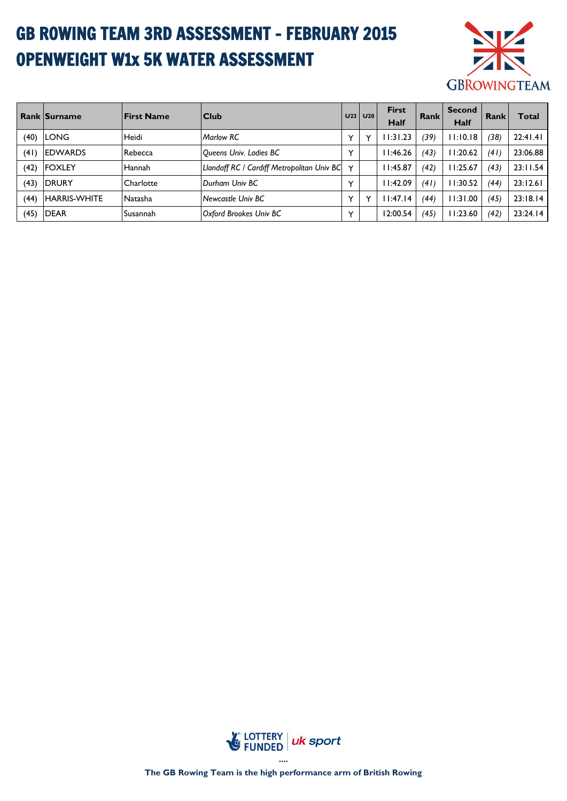# GB ROWING TEAM 3RD ASSESSMENT - FEBRUARY 2015 OPENWEIGHT W1x 5K WATER ASSESSMENT



|      | <b>Rank Surname</b> | <b>IFirst Name</b> | $ $ Club                                   | U <sub>23</sub> | U20          | <b>First</b><br><b>Half</b> | Rank | <b>Second</b><br>Half | Rank | Total    |
|------|---------------------|--------------------|--------------------------------------------|-----------------|--------------|-----------------------------|------|-----------------------|------|----------|
| (40) | <b>LONG</b>         | Heidi              | <b>Marlow RC</b>                           | $\checkmark$    | Y            | 11:31.23                    | (39) | 11:10.18              | (38) | 22:41.41 |
| (41) | <b>IEDWARDS</b>     | Rebecca            | Queens Univ. Ladies BC                     | $\checkmark$    |              | 11:46.26                    | (43) | 11:20.62              | (41) | 23:06.88 |
| (42) | <b>IFOXLEY</b>      | Hannah             | Llandaff RC / Cardiff Metropolitan Univ BC | $\checkmark$    |              | 11:45.87                    | (42) | 11:25.67              | (43) | 23:11.54 |
| (43) | <b>IDRURY</b>       | Charlotte          | Durham Univ BC                             | $\checkmark$    |              | 11:42.09                    | (41) | 11:30.52              | (44  | 23:12.61 |
| (44) | <b>HARRIS-WHITE</b> | <b>Natasha</b>     | <b>Newcastle Univ BC</b>                   | $\checkmark$    | $\checkmark$ | 11:47.14                    | (44) | 11:31.00              | (45) | 23:18.14 |
| (45) | <b>DEAR</b>         | Susannah           | Oxford Brookes Univ BC                     | $\checkmark$    |              | 12:00.54                    | (45) | 11:23.60              | (42) | 23:24.14 |

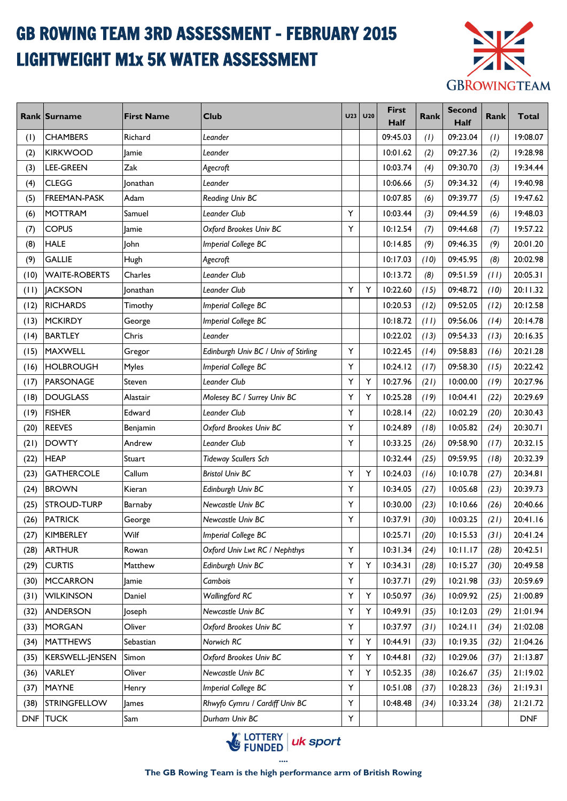# GB ROWING TEAM 3RD ASSESSMENT - FEBRUARY 2015 LIGHTWEIGHT M1x 5K WATER ASSESSMENT



|      | Rank Surname         | <b>First Name</b> | <b>Club</b>                          | <b>U23</b> | U20 | <b>First</b><br>Half | Rank | <b>Second</b><br><b>Half</b> | <b>Rank</b> | Total      |
|------|----------------------|-------------------|--------------------------------------|------------|-----|----------------------|------|------------------------------|-------------|------------|
| (1)  | <b>CHAMBERS</b>      | Richard           | Leander                              |            |     | 09:45.03             | (1)  | 09:23.04                     | (1)         | 19:08.07   |
| (2)  | <b>KIRKWOOD</b>      | lamie             | Leander                              |            |     | 10:01.62             | (2)  | 09:27.36                     | (2)         | 19:28.98   |
| (3)  | <b>LEE-GREEN</b>     | Zak               | Agecroft                             |            |     | 10:03.74             | (4)  | 09:30.70                     | (3)         | 19:34.44   |
| (4)  | <b>CLEGG</b>         | <b>Jonathan</b>   | Leander                              |            |     | 10:06.66             | (5)  | 09:34.32                     | (4)         | 19:40.98   |
| (5)  | <b>FREEMAN-PASK</b>  | Adam              | Reading Univ BC                      |            |     | 10:07.85             | (6)  | 09:39.77                     | (5)         | 19:47.62   |
| (6)  | MOTTRAM              | Samuel            | Leander Club                         | Y          |     | 10:03.44             | (3)  | 09:44.59                     | (6)         | 19:48.03   |
| (7)  | <b>COPUS</b>         | Jamie             | Oxford Brookes Univ BC               | Υ          |     | 10:12.54             | (7)  | 09:44.68                     | (7)         | 19:57.22   |
| (8)  | <b>HALE</b>          | <b>John</b>       | Imperial College BC                  |            |     | 10:14.85             | (9)  | 09:46.35                     | (9)         | 20:01.20   |
| (9)  | <b>GALLIE</b>        | Hugh              | Agecroft                             |            |     | 10:17.03             | (10) | 09:45.95                     | (8)         | 20:02.98   |
| (10) | <b>WAITE-ROBERTS</b> | Charles           | Leander Club                         |            |     | 10:13.72             | (8)  | 09:51.59                     | (11)        | 20:05.31   |
| (11) | <b>JACKSON</b>       | Jonathan          | Leander Club                         | Y          | Y   | 10:22.60             | (15) | 09:48.72                     | (10)        | 20:11.32   |
| (12) | <b>RICHARDS</b>      | Timothy           | Imperial College BC                  |            |     | 10:20.53             | (12) | 09:52.05                     | (12)        | 20:12.58   |
| (13) | MCKIRDY              | George            | Imperial College BC                  |            |     | 10:18.72             | (11) | 09:56.06                     | (14)        | 20:14.78   |
| (14) | BARTLEY              | Chris             | Leander                              |            |     | 10:22.02             | (13) | 09:54.33                     | (13)        | 20:16.35   |
| (15) | <b>MAXWELL</b>       | Gregor            | Edinburgh Univ BC / Univ of Stirling | Υ          |     | 10:22.45             | (14) | 09:58.83                     | (16)        | 20:21.28   |
| (16) | <b>HOLBROUGH</b>     | Myles             | Imperial College BC                  | Υ          |     | 10:24.12             | (17) | 09:58.30                     | (15)        | 20:22.42   |
| (17) | PARSONAGE            | Steven            | Leander Club                         | Y          | Υ   | 10:27.96             | (21) | 10:00.00                     | (19)        | 20:27.96   |
| (18) | <b>DOUGLASS</b>      | Alastair          | Molesey BC / Surrey Univ BC          | Υ          | Υ   | 10:25.28             | (19) | 10:04.41                     | (22)        | 20:29.69   |
| (19) | <b>FISHER</b>        | Edward            | Leander Club                         | Υ          |     | 10:28.14             | (22) | 10:02.29                     | (20)        | 20:30.43   |
| (20) | <b>REEVES</b>        | Benjamin          | Oxford Brookes Univ BC               | Υ          |     | 10:24.89             | (18) | 10:05.82                     | (24)        | 20:30.71   |
| (21) | <b>DOWTY</b>         | Andrew            | Leander Club                         | Υ          |     | 10:33.25             | (26) | 09:58.90                     | (17)        | 20:32.15   |
| (22) | <b>HEAP</b>          | Stuart            | <b>Tideway Scullers Sch</b>          |            |     | 10:32.44             | (25) | 09:59.95                     | (18)        | 20:32.39   |
| (23) | <b>GATHERCOLE</b>    | Callum            | <b>Bristol Univ BC</b>               | Υ          | Y   | 10:24.03             | (16) | 10:10.78                     | (27)        | 20:34.81   |
| (24) | <b>BROWN</b>         | Kieran            | Edinburgh Univ BC                    | Υ          |     | 10:34.05             | (27) | 10:05.68                     | (23)        | 20:39.73   |
| (25) | <b>STROUD-TURP</b>   | Barnaby           | Newcastle Univ BC                    | Υ          |     | 10:30.00             | (23) | 10:10.66                     | (26)        | 20:40.66   |
| (26) | <b>PATRICK</b>       | George            | Newcastle Univ BC                    | Υ          |     | 10:37.91             | (30) | 10:03.25                     | (21)        | 20:41.16   |
| (27) | KIMBERLEY            | Wilf              | <b>Imperial College BC</b>           |            |     | 10:25.71             | (20) | 10:15.53                     | (31)        | 20:41.24   |
| (28) | <b>ARTHUR</b>        | Rowan             | Oxford Univ Lwt RC / Nephthys        | Υ          |     | 10:31.34             | (24) | 10:11.17                     | (28)        | 20:42.51   |
| (29) | <b>CURTIS</b>        | Matthew           | Edinburgh Univ BC                    | Υ          | Y   | 10:34.31             | (28) | 10:15.27                     | (30)        | 20:49.58   |
| (30) | <b>MCCARRON</b>      | Jamie             | Cambois                              | Υ          |     | 10:37.71             | (29) | 10:21.98                     | (33)        | 20:59.69   |
| (31) | <b>WILKINSON</b>     | Daniel            | <b>Wallingford RC</b>                | Υ          | Υ   | 10:50.97             | (36) | 10:09.92                     | (25)        | 21:00.89   |
| (32) | ANDERSON             | Joseph            | Newcastle Univ BC                    | Υ          | Υ   | 10:49.91             | (35) | 10:12.03                     | (29)        | 21:01.94   |
| (33) | <b>MORGAN</b>        | Oliver            | Oxford Brookes Univ BC               | Υ          |     | 10:37.97             | (31) | 10:24.11                     | (34)        | 21:02.08   |
| (34) | <b>MATTHEWS</b>      | Sebastian         | Norwich RC                           | Υ          | Υ   | 10:44.91             | (33) | 10:19.35                     | (32)        | 21:04.26   |
| (35) | KERSWELL-JENSEN      | Simon             | Oxford Brookes Univ BC               | Υ          | Υ   | 10:44.81             | (32) | 10:29.06                     | (37)        | 21:13.87   |
| (36) | <b>VARLEY</b>        | Oliver            | Newcastle Univ BC                    | Υ          | Υ   | 10:52.35             | (38) | 10:26.67                     | (35)        | 21:19.02   |
| (37) | <b>MAYNE</b>         | Henry             | <b>Imperial College BC</b>           | Υ          |     | 10:51.08             | (37) | 10:28.23                     | (36)        | 21:19.31   |
| (38) | <b>STRINGFELLOW</b>  | <b>James</b>      | Rhwyfo Cymru / Cardiff Univ BC       | Υ          |     | 10:48.48             | (34) | 10:33.24                     | (38)        | 21:21.72   |
|      | DNF TUCK             | Sam               | Durham Univ BC                       | Υ          |     |                      |      |                              |             | <b>DNF</b> |

LOTTERY | uk sport